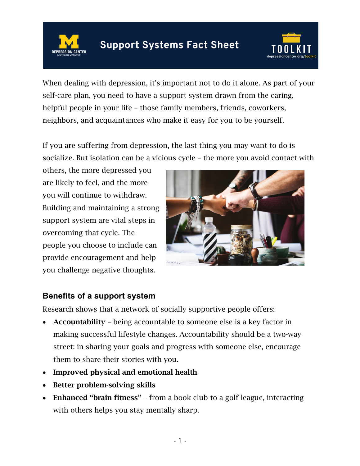**Support Systems Fact Sheet** 



When dealing with depression, it's important not to do it alone. As part of your self-care plan, you need to have a support system drawn from the caring, helpful people in your life – those family members, friends, coworkers, neighbors, and acquaintances who make it easy for you to be yourself.

If you are suffering from depression, the last thing you may want to do is socialize. But isolation can be a vicious cycle – the more you avoid contact with

others, the more depressed you are likely to feel, and the more you will continue to withdraw. Building and maintaining a strong support system are vital steps in overcoming that cycle. The people you choose to include can provide encouragement and help you challenge negative thoughts.



## **Benefits of a support system**

Research shows that a network of socially supportive people offers:

- Accountability being accountable to someone else is a key factor in making successful lifestyle changes. Accountability should be a two-way street: in sharing your goals and progress with someone else, encourage them to share their stories with you.
- Improved physical and emotional health
- Better problem-solving skills
- Enhanced "brain fitness" from a book club to a golf league, interacting with others helps you stay mentally sharp.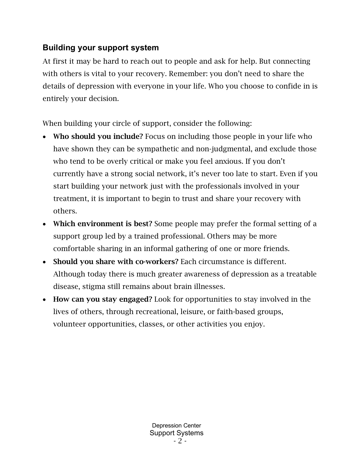## **Building your support system**

At first it may be hard to reach out to people and ask for help. But connecting with others is vital to your recovery. Remember: you don't need to share the details of depression with everyone in your life. Who you choose to confide in is entirely your decision.

When building your circle of support, consider the following:

- Who should you include? Focus on including those people in your life who have shown they can be sympathetic and non-judgmental, and exclude those who tend to be overly critical or make you feel anxious. If you don't currently have a strong social network, it's never too late to start. Even if you start building your network just with the professionals involved in your treatment, it is important to begin to trust and share your recovery with others.
- Which environment is best? Some people may prefer the formal setting of a support group led by a trained professional. Others may be more comfortable sharing in an informal gathering of one or more friends.
- Should you share with co-workers? Each circumstance is different. Although today there is much greater awareness of depression as a treatable disease, stigma still remains about brain illnesses.
- How can you stay engaged? Look for opportunities to stay involved in the lives of others, through recreational, leisure, or faith-based groups, volunteer opportunities, classes, or other activities you enjoy.